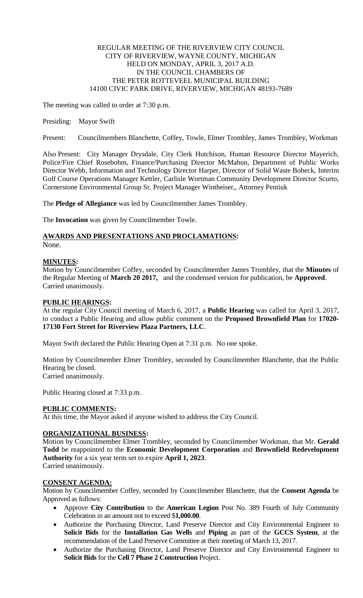## REGULAR MEETING OF THE RIVERVIEW CITY COUNCIL CITY OF RIVERVIEW, WAYNE COUNTY, MICHIGAN HELD ON MONDAY, APRIL 3, 2017 A.D. IN THE COUNCIL CHAMBERS OF THE PETER ROTTEVEEL MUNICIPAL BUILDING 14100 CIVIC PARK DRIVE, RIVERVIEW, MICHIGAN 48193-7689

The meeting was called to order at 7:30 p.m.

### Presiding: Mayor Swift

Present: Councilmembers Blanchette, Coffey, Towle, Elmer Trombley, James Trombley, Workman

Also Present: City Manager Drysdale, City Clerk Hutchison, Human Resource Director Mayerich, Police/Fire Chief Rosebohm, Finance/Purchasing Director McMahon, Department of Public Works Director Webb, Information and Technology Director Harper, Director of Solid Waste Bobeck, Interim Golf Course Operations Manager Kettler, Carlisle Wortman Community Development Director Scurto, Cornerstone Environmental Group Sr. Project Manager Wintheiser,, Attorney Pentiuk

The **Pledge of Allegiance** was led by Councilmember James Trombley.

The **Invocation** was given by Councilmember Towle.

# **AWARDS AND PRESENTATIONS AND PROCLAMATIONS:**

None.

## **MINUTES:**

Motion by Councilmember Coffey, seconded by Councilmember James Trombley, that the **Minutes** of the Regular Meeting of **March 20 2017,** and the condensed version for publication, be **Approved**. Carried unanimously.

## **PUBLIC HEARINGS:**

At the regular City Council meeting of March 6, 2017, a **Public Hearing** was called for April 3, 2017, to conduct a Public Hearing and allow public comment on the **Proposed Brownfield Plan** for **17020- 17130 Fort Street for Riverview Plaza Partners, LLC**.

Mayor Swift declared the Public Hearing Open at 7:31 p.m. No one spoke.

Motion by Councilmember Elmer Trombley, seconded by Councilmember Blanchette, that the Public Hearing be closed.

Carried unanimously.

Public Hearing closed at 7:33 p.m.

## **PUBLIC COMMENTS:**

At this time, the Mayor asked if anyone wished to address the City Council.

## **ORGANIZATIONAL BUSINESS:**

Motion by Councilmember Elmer Trombley, seconded by Councilmember Workman, that Mr. **Gerald Todd** be reappointed to the **Economic Development Corporation** and **Brownfield Redevelopment Authority** for a six year term set to expire **April 1, 2023**. Carried unanimously.

## **CONSENT AGENDA:**

Motion by Councilmember Coffey, seconded by Councilmember Blanchette, that the **Consent Agenda** be Approved as follows:

- Approve **City Contribution** to the **American Legion** Post No. 389 Fourth of July Community Celebration in an amount not to exceed \$**1,000.00**.
- Authorize the Purchasing Director, Land Preserve Director and City Environmental Engineer to **Solicit Bids** for the **Installation Gas Wells** and **Piping** as part of the **GCCS System**, at the recommendation of the Land Preserve Committee at their meeting of March 13, 2017.
- Authorize the Purchasing Director, Land Preserve Director and City Environmental Engineer to **Solicit Bids** for the **Cell 7 Phase 2 Construction** Project.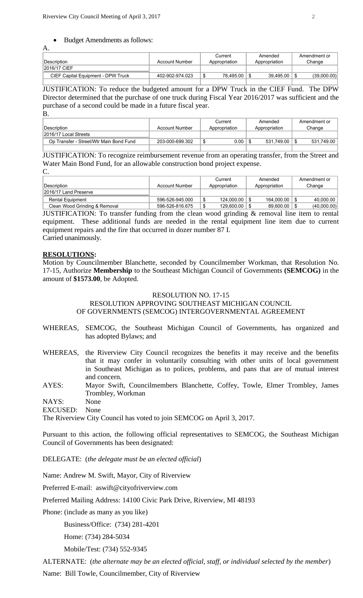#### Budget Amendments as follows:

A.

| Description                        | Account Number  |    | Current<br>Appropriation |   | Amended<br>Appropriation | Amendment or<br>Change |
|------------------------------------|-----------------|----|--------------------------|---|--------------------------|------------------------|
| 2016/17 CIEF                       |                 |    |                          |   |                          |                        |
| CIEF Capital Equipment - DPW Truck | 402-902-974.023 | ۰D | 78.495.00                | Œ | 39.495.00                | (39,000.00)            |
|                                    |                 |    |                          |   |                          |                        |

JUSTIFICATION: To reduce the budgeted amount for a DPW Truck in the CIEF Fund. The DPW Director determined that the purchase of one truck during Fiscal Year 2016/2017 was sufficient and the purchase of a second could be made in a future fiscal year.

B.

|                                         |                 | Current       | Amended       | Amendment or |
|-----------------------------------------|-----------------|---------------|---------------|--------------|
| ∣Description l                          | Account Number  | Appropriation | Appropriation | Change       |
| 2016/17 Local Streets                   |                 |               |               |              |
| Op Transfer - Street/Wtr Main Bond Fund | 203-000-699.302 | 0.00          | 531.749.00    | 531.749.00   |
|                                         |                 |               |               |              |

JUSTIFICATION: To recognize reimbursement revenue from an operating transfer, from the Street and Water Main Bond Fund, for an allowable construction bond project expense.  $\Gamma$ 

| <u>.</u>                      |                       |               |               |              |  |
|-------------------------------|-----------------------|---------------|---------------|--------------|--|
|                               |                       | Current       | Amended       | Amendment or |  |
| ∣Description                  | <b>Account Number</b> | Appropriation | Appropriation | Change       |  |
| 2016/17 Land Preserve         |                       |               |               |              |  |
| <b>Rental Equipment</b>       | 596-526-945.000       | 124.000.00    | 164.000.00    | 40.000.00    |  |
| Clean Wood Grinding & Removal | 596-526-816.675       | 129.600.00    | 89.600.00     | (40,000.00)  |  |

JUSTIFICATION: To transfer funding from the clean wood grinding & removal line item to rental equipment. These additional funds are needed in the rental equipment line item due to current equipment repairs and the fire that occurred in dozer number 87 I. Carried unanimously.

## **RESOLUTIONS:**

Motion by Councilmember Blanchette, seconded by Councilmember Workman, that Resolution No. 17-15, Authorize **Membership** to the Southeast Michigan Council of Governments **(SEMCOG)** in the amount of **\$1573.00**, be Adopted.

#### RESOLUTION NO. 17-15

RESOLUTION APPROVING SOUTHEAST MICHIGAN COUNCIL OF GOVERNMENTS (SEMCOG) INTERGOVERNMENTAL AGREEMENT

- WHEREAS, SEMCOG, the Southeast Michigan Council of Governments, has organized and has adopted Bylaws; and
- WHEREAS, the Riverview City Council recognizes the benefits it may receive and the benefits that it may confer in voluntarily consulting with other units of local government in Southeast Michigan as to polices, problems, and pans that are of mutual interest and concern.
- AYES: Mayor Swift, Councilmembers Blanchette, Coffey, Towle, Elmer Trombley, James Trombley, Workman

NAYS: None

EXCUSED: None

The Riverview City Council has voted to join SEMCOG on April 3, 2017.

Pursuant to this action, the following official representatives to SEMCOG, the Southeast Michigan Council of Governments has been designated:

DELEGATE: (*the delegate must be an elected official*)

Name: Andrew M. Swift, Mayor, City of Riverview

Preferred E-mail: aswift@cityofriverview.com

Preferred Mailing Address: 14100 Civic Park Drive, Riverview, MI 48193

Phone: (include as many as you like)

Business/Office: (734) 281-4201

Home: (734) 284-5034

Mobile/Test: (734) 552-9345

ALTERNATE: (*the alternate may be an elected official, staff, or individual selected by the member*)

Name: Bill Towle, Councilmember, City of Riverview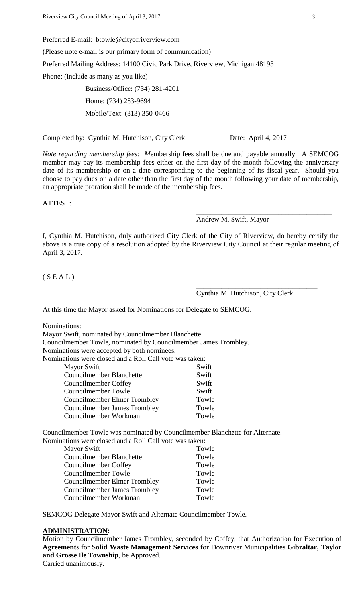Preferred E-mail: btowle@cityofriverview.com (Please note e-mail is our primary form of communication) Preferred Mailing Address: 14100 Civic Park Drive, Riverview, Michigan 48193 Phone: (include as many as you like) Business/Office: (734) 281-4201

Home: (734) 283-9694 Mobile/Text: (313) 350-0466

Completed by: Cynthia M. Hutchison, City Clerk Date: April 4, 2017

\_\_\_\_\_\_\_\_\_\_\_\_\_\_\_\_\_\_\_\_\_\_\_\_\_\_\_\_\_\_\_\_\_\_\_\_\_\_

*Note regarding membership fees: M*embership fees shall be due and payable annually. A SEMCOG member may pay its membership fees either on the first day of the month following the anniversary date of its membership or on a date corresponding to the beginning of its fiscal year. Should you choose to pay dues on a date other than the first day of the month following your date of membership, an appropriate proration shall be made of the membership fees.

ATTEST:

Andrew M. Swift, Mayor

I, Cynthia M. Hutchison, duly authorized City Clerk of the City of Riverview, do hereby certify the above is a true copy of a resolution adopted by the Riverview City Council at their regular meeting of April 3, 2017.

 $(S E A L)$ 

Cynthia M. Hutchison, City Clerk

\_\_\_\_\_\_\_\_\_\_\_\_\_\_\_\_\_\_\_\_\_\_\_\_\_\_\_\_\_\_\_\_\_\_

At this time the Mayor asked for Nominations for Delegate to SEMCOG.

Nominations:

| Mayor Swift, nominated by Councilmember Blanchette.             |                                              |
|-----------------------------------------------------------------|----------------------------------------------|
| Councilmember Towle, nominated by Councilmember James Trombley. |                                              |
| Nominations were accepted by both nominees.                     |                                              |
| Nominations were closed and a Roll Call vote was taken:         |                                              |
| Mayor Swift                                                     | Swift                                        |
| <b>Councilmember Blanchette</b>                                 | Swift                                        |
| Councilmember Coffey                                            | Swift                                        |
| Councilmember Towle                                             | Swift                                        |
| <b>Councilmember Elmer Trombley</b>                             | Towle                                        |
| Councilmember James Trombley                                    | Towle                                        |
| Councilmember Workman                                           | Towle                                        |
| $\cdot$ $\cdot$ $\cdot$ $\cdot$ $\sim$                          | $\mathbf{a}$ in $\mathbf{b}$ in $\mathbf{c}$ |

Councilmember Towle was nominated by Councilmember Blanchette for Alternate. Nominations were closed and a Roll Call vote was taken:

| <b>Mayor Swift</b>                  | Towle |
|-------------------------------------|-------|
| <b>Councilmember Blanchette</b>     | Towle |
| Councilmember Coffey                | Towle |
| Councilmember Towle                 | Towle |
| <b>Councilmember Elmer Trombley</b> | Towle |
| <b>Councilmember James Trombley</b> | Towle |
| Councilmember Workman               | Towle |

SEMCOG Delegate Mayor Swift and Alternate Councilmember Towle.

## **ADMINISTRATION:**

Motion by Councilmember James Trombley, seconded by Coffey, that Authorization for Execution of **Agreements** for S**olid Waste Management Services** for Downriver Municipalities **Gibraltar, Taylor and Grosse Ile Township**, be Approved.

Carried unanimously.